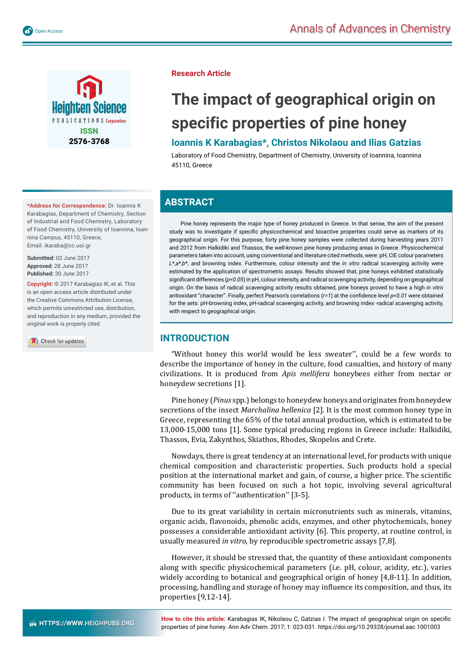



**Research Article**

# **The impact of geographical origin on specific properties of pine honey**

## **Ioannis K Karabagias\*, Christos Nikolaou and Ilias Gatzias**

Laboratory of Food Chemistry, Department of Chemistry, University of Ioannina, Ioannina 45110, Greece

# **ABSTRACT**

Pine honey represents the major type of honey produced in Greece. In that sense, the aim of the present study was to investigate if specific physicochemical and bioactive properties could serve as markers of its geographical origin. For this purpose, forty pine honey samples were collected during harvesting years 2011 and 2012 from Halkidiki and Thassos, the well-known pine honey producing areas in Greece. Physicochemical parameters taken into account, using conventional and literature cited methods, were: pH, CIE colour parameters *L*\*,*a*\*,*b*\*, and browning index. Furthermore, colour intensity and the *in vitro* radical scavenging activity were estimated by the application of spectrometric assays. Results showed that, pine honeys exhibited statistically significant differences ( $p$ <0.05) in pH, colour intensity, and radical scavenging activity, depending on geographical origin. On the basis of radical scavenging activity results obtained, pine honeys proved to have a high *in vitro* antioxidant "character". Finally, perfect Pearson's correlations ( $r=1$ ) at the confidence level  $p<0.01$  were obtained for the sets: pH-browning index, pH-radical scavenging activity, and browning index -radical scavenging activity, with respect to geographical origin.

## **INTRODUCTION**

"Without honey this world would be less sweater'', could be a few words to describe the importance of honey in the culture, food casualties, and history of many civilizations. It is produced from *Apis mellifera* honeybees either from nectar or honeydew secretions [1].

Pine honey (*Pinus* spp.) belongs to honeydew honeys and originates from honeydew secretions of the insect *Marchalina hellenica* [2]. It is the most common honey type in Greece, representing the 65% of the total annual production, which is estimated to be 13,000-15,000 tons [1]. Some typical producing regions in Greece include: Halkidiki, Thassos, Evia, Zakynthos, Skiathos, Rhodes, Skopelos and Crete.

Nowdays, there is great tendency at an international level, for products with unique chemical composition and characteristic properties. Such products hold a special position at the international market and gain, of course, a higher price. The scientific community has been focused on such a hot topic, involving several agricultural products, in terms of "authentication" [3-5].

Due to its great variability in certain micronutrients such as minerals, vitamins, organic acids, flavonoids, phenolic acids, enzymes, and other phytochemicals, honey possesses a considerable antioxidant activity [6]. This property, at routine control, is usually measured *in vitro*, by reproducible spectrometric assays [7,8].

However, it should be stressed that, the quantity of these antioxidant components along with specific physicochemical parameters (i.e. pH, colour, acidity, etc.), varies widely according to botanical and geographical origin of honey [4,8-11]. In addition, processing, handling and storage of honey may influence its composition, and thus, its properties [9,12-14].

**\*Address for Correspondence:** Dr. Ioannis K Karabagias, Department of Chemistry, Section of Industrial and Food Chemistry, Laboratory of Food Chemistry, University of Ioannina, Ioannina Campus, 45110, Greece, Email: ikaraba@cc.uoi.gr

**Submitted:** 02 June 2017 **Approved:** 28 June 2017 **Published:** 30 June 2017

**Copyright:** © 2017 Karabagias IK, et al. This is an open access article distributed under the Creative Commons Attribution License, which permits unrestricted use, distribution, and reproduction in any medium, provided the original work is properly cited

Check for updates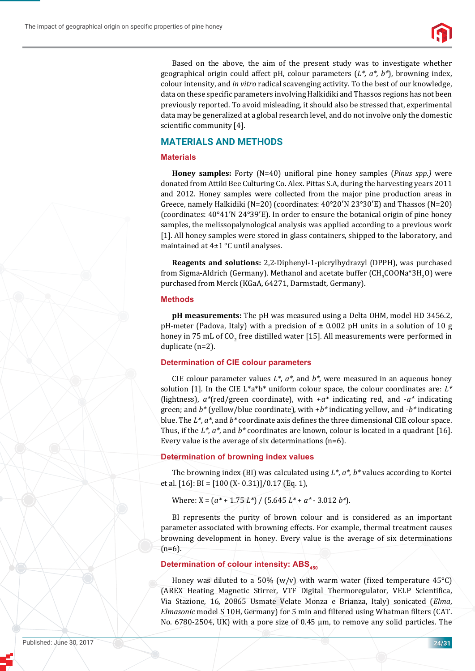

Based on the above, the aim of the present study was to investigate whether geographical origin could affect pH, colour parameters (*L\*, a\*, b\**), browning index, colour intensity, and *in vitro* radical scavenging activity. To the best of our knowledge, data on these specific parameters involving Halkidiki and Thassos regions has not been previously reported. To avoid misleading, it should also be stressed that, experimental data may be generalized at a global research level, and do not involve only the domestic scientific community [4].

## **MATERIALS AND METHODS**

#### **Materials**

**Honey samples:** Forty (N=40) unifloral pine honey samples (*Pinus spp.*) were donated from Attiki Bee Culturing Co. Alex. Pittas S.A, during the harvesting years 2011 and 2012. Honey samples were collected from the major pine production areas in Greece, namely Halkidiki (N=20) (coordinates: 40°20′N 23°30′E) and Thassos (N=20) (coordinates: 40°41′N 24°39′E). In order to ensure the botanical origin of pine honey samples, the melissopalynological analysis was applied according to a previous work [1]. All honey samples were stored in glass containers, shipped to the laboratory, and maintained at 4±1 °C until analyses.

**Reagents and solutions:** 2,2-Diphenyl-1-picrylhydrazyl (DPPH), was purchased from Sigma-Aldrich (Germany). Methanol and acetate buffer (CH<sub>3</sub>COONa\*3H<sub>2</sub>O) were purchased from Merck (KGaA, 64271, Darmstadt, Germany).

#### **Methods**

**pH measurements:** The pH was measured using a Delta OHM, model HD 3456.2, pH-meter (Padova, Italy) with a precision of  $\pm$  0.002 pH units in a solution of 10 g honey in 75 mL of  $\mathrm{CO}_2$  free distilled water [15]. All measurements were performed in duplicate (n=2).

### **Determination of CIE colour parameters**

CIE colour parameter values *L\**, *a\**, and *b\**, were measured in an aqueous honey solution [1]. In the CIE  $L^*a^*b^*$  uniform colour space, the colour coordinates are:  $L^*$ (lightness),  $a^*$ (red/green coordinate), with  $+a^*$  indicating red, and  $-a^*$  indicating green; and *b\** (yellow/blue coordinate), with +*b\** indicating yellow, and -*b\** indicating blue. The *L<sup>\*</sup>*, *a<sup>\*</sup>*, and *b*<sup>\*</sup> coordinate axis defines the three dimensional CIE colour space. Thus, if the *L\**, *a\**, and *b\** coordinates are known, colour is located in a quadrant [16]. Every value is the average of six determinations (n=6).

### **Determination of browning index values**

The browning index (BI) was calculated using *L\**, *a\**, *b\** values according to Kortei et al. [16]: BI = [100 (X- 0.31)]/0.17 (Eq. 1),

Where: X = (*a\** + 1.75 *L\**) / (5.645 *L\** + *a\** - 3.012 *b\**).

BI represents the purity of brown colour and is considered as an important parameter associated with browning effects. For example, thermal treatment causes browning development in honey. Every value is the average of six determinations  $(n=6)$ .

## **Determination of colour intensity: ABS**450

Honey was diluted to a 50% (w/v) with warm water (fixed temperature 45°C) (AREX Heating Magnetic Stirrer, VTF Digital Thermoregulator, VELP Scientifica, Via Stazione, 16, 20865 Usmate Velate Monza e Brianza, Italy) sonicated (*Elma*, *Elmasonic* model S 10H, Germany) for 5 min and filtered using Whatman filters (CAT. No. 6780-2504, UK) with a pore size of 0.45  $\mu$ m, to remove any solid particles. The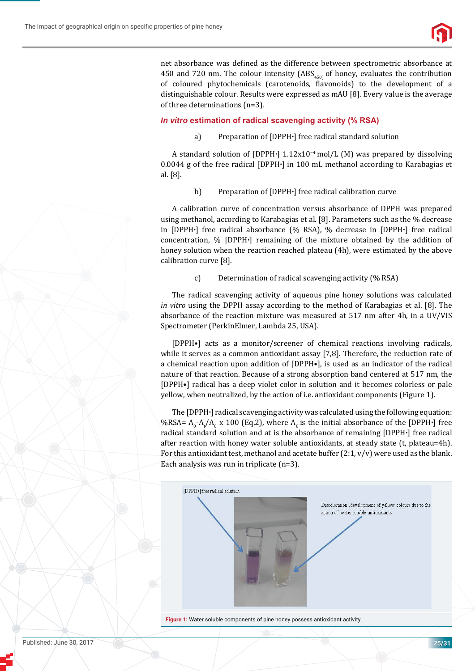

net absorbance was defined as the difference between spectrometric absorbance at 450 and 720 nm. The colour intensity (ABS $_{450}$  of honey, evaluates the contribution of coloured phytochemicals (carotenoids, ϐlavonoids) to the development of a distinguishable colour. Results were expressed as mAU [8]. Every value is the average of three determinations (n=3).

## *In vitro* **estimation of radical scavenging activity (% RSA)**

a) Preparation of [DPPH**·**] free radical standard solution

A standard solution of [DPPH**·**] 1.12x10−4 mol/L (M) was prepared by dissolving 0.0044 g of the free radical [DPPH**·**] in 100 mL methanol according to Karabagias et al. [8].

b) Preparation of [DPPH**·**] free radical calibration curve

A calibration curve of concentration versus absorbance of DPPH was prepared using methanol, according to Karabagias et al. [8]. Parameters such as the % decrease in [DPPH**·**] free radical absorbance (% RSA), % decrease in [DPPH**·**] free radical concentration, % [DPPH**·**] remaining of the mixture obtained by the addition of honey solution when the reaction reached plateau (4h), were estimated by the above calibration curve [8].

c) Determination of radical scavenging activity (% RSA)

The radical scavenging activity of aqueous pine honey solutions was calculated *in vitro* using the DPPH assay according to the method of Karabagias et al. [8]. The absorbance of the reaction mixture was measured at 517 nm after 4h, in a UV/VIS Spectrometer (PerkinElmer, Lambda 25, USA).

[DPPH•] acts as a monitor/screener of chemical reactions involving radicals, while it serves as a common antioxidant assay [7,8]. Therefore, the reduction rate of a chemical reaction upon addition of [DPPH•], is used as an indicator of the radical nature of that reaction. Because of a strong absorption band centered at 517 nm, the [DPPH•] radical has a deep violet color in solution and it becomes colorless or pale yellow, when neutralized, by the action of i.e. antioxidant components (Figure 1).

The [DPPH**·**] radical scavenging activity was calculated using the following equation: %RSA= A<sub>0</sub>-A<sub>t</sub>/A<sub>0</sub> x 100 (Eq.2), where A<sub>0</sub> is the initial absorbance of the [DPPH·] free radical standard solution and at is the absorbance of remaining [DPPH**·**] free radical after reaction with honey water soluble antioxidants, at steady state (t, plateau=4h). For this antioxidant test, methanol and acetate buffer  $(2:1, v/v)$  were used as the blank. Each analysis was run in triplicate (n=3).



**Figure 1:** Water soluble components of pine honey possess antioxidant activity.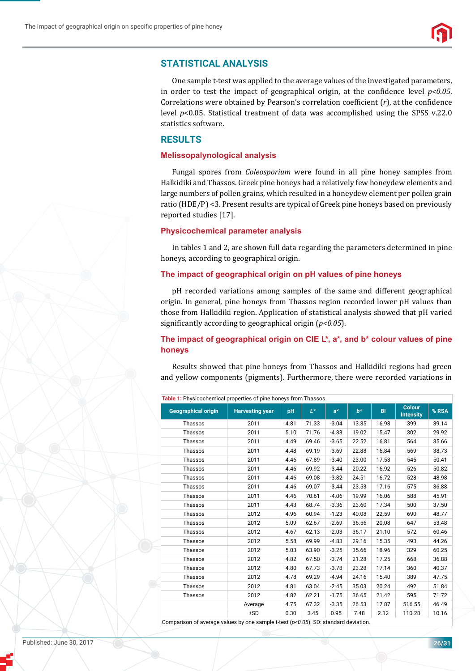

## **STATISTICAL ANALYSIS**

One sample t*-*test was applied to the average values of the investigated parameters, in order to test the impact of geographical origin, at the confidence level  $p$ <0.05. Correlations were obtained by Pearson's correlation coefficient (*r*), at the confidence level *p*<0.05. Statistical treatment of data was accomplished using the SPSS v.22.0 statistics software.

## **RESULTS**

### **Melissopalynological analysis**

Fungal spores from *Coleosporium* were found in all pine honey samples from Halkidiki and Thassos. Greek pine honeys had a relatively few honeydew elements and large numbers of pollen grains, which resulted in a honeydew element per pollen grain ratio (HDE/P) <3. Present results are typical of Greek pine honeys based on previously reported studies [17].

#### **Physicochemical parameter analysis**

In tables 1 and 2, are shown full data regarding the parameters determined in pine honeys, according to geographical origin.

#### **The impact of geographical origin on pH values of pine honeys**

pH recorded variations among samples of the same and different geographical origin. In general, pine honeys from Thassos region recorded lower pH values than those from Halkidiki region. Application of statistical analysis showed that pH varied significantly according to geographical origin ( $p$ <0.05).

## **The impact of geographical origin on CIE L\*, a\*, and b\* colour values of pine honeys**

Results showed that pine honeys from Thassos and Halkidiki regions had green and yellow components (pigments). Furthermore, there were recorded variations in

| <b>Table 1:</b> Physicochemical properties of pine honeys from Thassos. |                        |      |       |         |       |       |                                   |       |  |  |  |
|-------------------------------------------------------------------------|------------------------|------|-------|---------|-------|-------|-----------------------------------|-------|--|--|--|
| <b>Geographical origin</b>                                              | <b>Harvesting year</b> | pH   | $L^*$ | $a^*$   | $b*$  | BI    | <b>Colour</b><br><b>Intensity</b> | % RSA |  |  |  |
| Thassos                                                                 | 2011                   | 4.81 | 71.33 | $-3.04$ | 13.35 | 16.98 | 399                               | 39.14 |  |  |  |
| Thassos                                                                 | 2011                   | 5.10 | 71.76 | $-4.33$ | 19.02 | 15.47 | 302                               | 29.92 |  |  |  |
| Thassos                                                                 | 2011                   | 4.49 | 69.46 | $-3.65$ | 22.52 | 16.81 | 564                               | 35.66 |  |  |  |
| Thassos                                                                 | 2011                   | 4.48 | 69.19 | $-3.69$ | 22.88 | 16.84 | 569                               | 38.73 |  |  |  |
| Thassos                                                                 | 2011                   | 4.46 | 67.89 | $-3.40$ | 23.00 | 17.53 | 545                               | 50.41 |  |  |  |
| Thassos                                                                 | 2011                   | 4.46 | 69.92 | $-3.44$ | 20.22 | 16.92 | 526                               | 50.82 |  |  |  |
| Thassos                                                                 | 2011                   | 4.46 | 69.08 | $-3.82$ | 24.51 | 16.72 | 528                               | 48.98 |  |  |  |
| Thassos                                                                 | 2011                   | 4.46 | 69.07 | $-3.44$ | 23.53 | 17.16 | 575                               | 36.88 |  |  |  |
| Thassos                                                                 | 2011                   | 4.46 | 70.61 | $-4.06$ | 19.99 | 16.06 | 588                               | 45.91 |  |  |  |
| Thassos                                                                 | 2011                   | 4.43 | 68.74 | $-3.36$ | 23.60 | 17.34 | 500                               | 37.50 |  |  |  |
| Thassos                                                                 | 2012                   | 4.96 | 60.94 | $-1.23$ | 40.08 | 22.59 | 690                               | 48.77 |  |  |  |
| Thassos                                                                 | 2012                   | 5.09 | 62.67 | $-2.69$ | 36.56 | 20.08 | 647                               | 53.48 |  |  |  |
| Thassos                                                                 | 2012                   | 4.67 | 62.13 | $-2.03$ | 36.17 | 21.10 | 572                               | 60.46 |  |  |  |
| Thassos                                                                 | 2012                   | 5.58 | 69.99 | $-4.83$ | 29.16 | 15.35 | 493                               | 44.26 |  |  |  |
| Thassos                                                                 | 2012                   | 5.03 | 63.90 | $-3.25$ | 35.66 | 18.96 | 329                               | 60.25 |  |  |  |
| Thassos                                                                 | 2012                   | 4.82 | 67.50 | $-3.74$ | 21.28 | 17.25 | 668                               | 36.88 |  |  |  |
| Thassos                                                                 | 2012                   | 4.80 | 67.73 | $-3.78$ | 23.28 | 17.14 | 360                               | 40.37 |  |  |  |
| Thassos                                                                 | 2012                   | 4.78 | 69.29 | $-4.94$ | 24.16 | 15.40 | 389                               | 47.75 |  |  |  |
| Thassos                                                                 | 2012                   | 4.81 | 63.04 | $-2.45$ | 35.03 | 20.24 | 492                               | 51.84 |  |  |  |
| Thassos                                                                 | 2012                   | 4.82 | 62.21 | $-1.75$ | 36.65 | 21.42 | 595                               | 71.72 |  |  |  |
|                                                                         | Average                | 4.75 | 67.32 | $-3.35$ | 26.53 | 17.87 | 516.55                            | 46.49 |  |  |  |
|                                                                         | ±SD                    | 0.30 | 3.45  | 0.95    | 7.48  | 2.12  | 110.28                            | 10.16 |  |  |  |

Comparison of average values by one sample t-test (*p<0.05*). SD: standard deviation.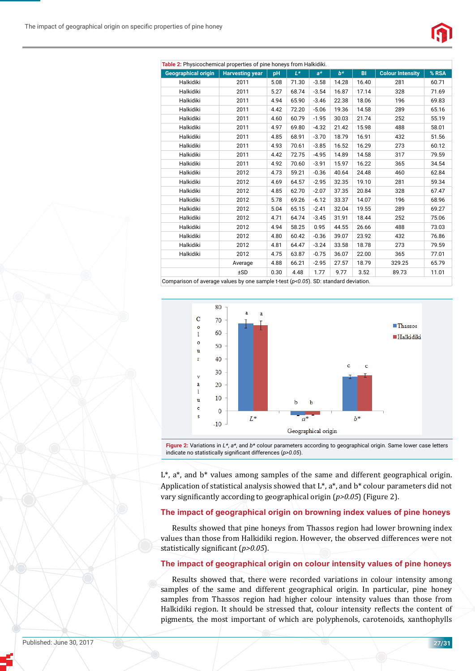

| Table 2: Physicochemical properties of pine honeys from Halkidiki. |                        |      |       |         |       |       |                         |       |  |  |  |  |
|--------------------------------------------------------------------|------------------------|------|-------|---------|-------|-------|-------------------------|-------|--|--|--|--|
| <b>Geographical origin</b>                                         | <b>Harvesting year</b> | pH   | $L^*$ | $a^*$   | $b^*$ | BI    | <b>Colour Intensity</b> | % RSA |  |  |  |  |
| Halkidiki                                                          | 2011                   | 5.08 | 71.30 | $-3.58$ | 14.28 | 16.40 | 281                     | 60.71 |  |  |  |  |
| Halkidiki                                                          | 2011                   | 5.27 | 68.74 | $-3.54$ | 16.87 | 17.14 | 328                     | 71.69 |  |  |  |  |
| Halkidiki                                                          | 2011                   | 4.94 | 65.90 | $-3.46$ | 22.38 | 18.06 | 196                     | 69.83 |  |  |  |  |
| Halkidiki                                                          | 2011                   | 4.42 | 72.20 | $-5.06$ | 19.36 | 14.58 | 289                     | 65.16 |  |  |  |  |
| Halkidiki                                                          | 2011                   | 4.60 | 60.79 | $-1.95$ | 30.03 | 21.74 | 252                     | 55.19 |  |  |  |  |
| Halkidiki                                                          | 2011                   | 4.97 | 69.80 | $-4.32$ | 21.42 | 15.98 | 488                     | 58.01 |  |  |  |  |
| Halkidiki                                                          | 2011                   | 4.85 | 68.91 | $-3.70$ | 18.79 | 16.91 | 432                     | 51.56 |  |  |  |  |
| Halkidiki                                                          | 2011                   | 4.93 | 70.61 | $-3.85$ | 16.52 | 16.29 | 273                     | 60.12 |  |  |  |  |
| Halkidiki                                                          | 2011                   | 4.42 | 72.75 | $-4.95$ | 14.89 | 14.58 | 317                     | 79.59 |  |  |  |  |
| Halkidiki                                                          | 2011                   | 4.92 | 70.60 | $-3.91$ | 15.97 | 16.22 | 365                     | 34.54 |  |  |  |  |
| Halkidiki                                                          | 2012                   | 4.73 | 59.21 | $-0.36$ | 40.64 | 24.48 | 460                     | 62.84 |  |  |  |  |
| Halkidiki                                                          | 2012                   | 4.69 | 64.57 | $-2.95$ | 32.35 | 19.10 | 281                     | 59.34 |  |  |  |  |
| Halkidiki                                                          | 2012                   | 4.85 | 62.70 | $-2.07$ | 37.35 | 20.84 | 328                     | 67.47 |  |  |  |  |
| Halkidiki                                                          | 2012                   | 5.78 | 69.26 | $-6.12$ | 33.37 | 14.07 | 196                     | 68.96 |  |  |  |  |
| Halkidiki                                                          | 2012                   | 5.04 | 65.15 | $-2.41$ | 32.04 | 19.55 | 289                     | 69.27 |  |  |  |  |
| Halkidiki                                                          | 2012                   | 4.71 | 64.74 | $-3.45$ | 31.91 | 18.44 | 252                     | 75.06 |  |  |  |  |
| Halkidiki                                                          | 2012                   | 4.94 | 58.25 | 0.95    | 44.55 | 26.66 | 488                     | 73.03 |  |  |  |  |
| Halkidiki                                                          | 2012                   | 4.80 | 60.42 | $-0.36$ | 39.07 | 23.92 | 432                     | 76.86 |  |  |  |  |
| Halkidiki                                                          | 2012                   | 4.81 | 64.47 | $-3.24$ | 33.58 | 18.78 | 273                     | 79.59 |  |  |  |  |
| Halkidiki                                                          | 2012                   | 4.75 | 63.87 | $-0.75$ | 36.07 | 22.00 | 365                     | 77.01 |  |  |  |  |
|                                                                    | Average                | 4.88 | 66.21 | $-2.95$ | 27.57 | 18.79 | 329.25                  | 65.79 |  |  |  |  |
|                                                                    | ±SD                    | 0.30 | 4.48  | 1.77    | 9.77  | 3.52  | 89.73                   | 11.01 |  |  |  |  |





**Figure 2:** Variations in *L\**, *a\**, and *b\** colour parameters according to geographical origin. Same lower case letters indicate no statistically significant differences ( $p > 0.05$ ).

 $L^*$ ,  $a^*$ , and  $b^*$  values among samples of the same and different geographical origin. Application of statistical analysis showed that  $L^*$ ,  $a^*$ , and  $b^*$  colour parameters did not vary significantly according to geographical origin ( $p$  > 0.05) (Figure 2).

## **The impact of geographical origin on browning index values of pine honeys**

Results showed that pine honeys from Thassos region had lower browning index values than those from Halkidiki region. However, the observed differences were not statistically significant (*p*>0.05).

## **The impact of geographical origin on colour intensity values of pine honeys**

Results showed that, there were recorded variations in colour intensity among samples of the same and different geographical origin. In particular, pine honey samples from Thassos region had higher colour intensity values than those from Halkidiki region. It should be stressed that, colour intensity reflects the content of pigments, the most important of which are polyphenols, carotenoids, xanthophylls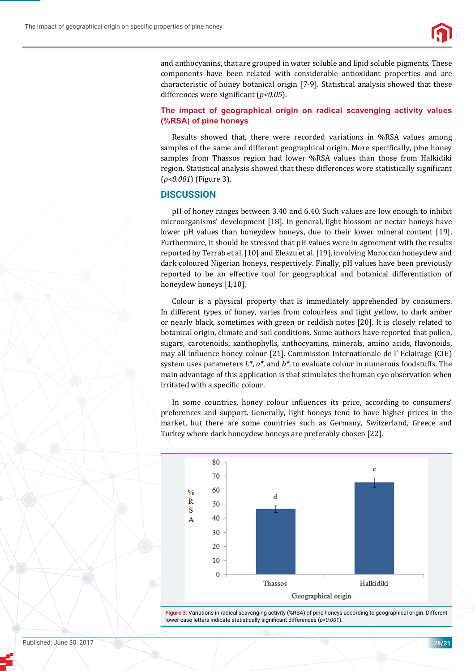

and anthocyanins, that are grouped in water soluble and lipid soluble pigments. These components have been related with considerable antioxidant properties and are characteristic of honey botanical origin [7-9]. Statistical analysis showed that these differences were significant (*p*<0.05).

## **The impact of geographical origin on radical scavenging activity values (%RSA) of pine honeys**

Results showed that, there were recorded variations in %RSA values among samples of the same and different geographical origin. More specifically, pine honey samples from Thassos region had lower %RSA values than those from Halkidiki region. Statistical analysis showed that these differences were statistically significant (*p<0.001*) (Figure 3).

## **DISCUSSION**

pH of honey ranges between 3.40 and 6.40. Such values are low enough to inhibit microorganisms' development [18]. In general, light blossom or nectar honeys have lower pH values than honeydew honeys, due to their lower mineral content [19], Furthermore, it should be stressed that pH values were in agreement with the results reported by Terrab et al. [10] and Eleazu et al. [19], involving Moroccan honeydew and dark coloured Nigerian honeys, respectively. Finally, pH values have been previously reported to be an effective tool for geographical and botanical differentiation of honeydew honeys [1,10].

Colour is a physical property that is immediately apprehended by consumers. In different types of honey, varies from colourless and light yellow, to dark amber or nearly black, sometimes with green or reddish notes [20]. It is closely related to botanical origin, climate and soil conditions. Some authors have reported that pollen, sugars, carotenoids, xanthophylls, anthocyanins, minerals, amino acids, flavonoids, may all inϐluence honey colour [21]. Commission Internationale de l' Eclairage (CIE) system uses parameters *L\**, *a\**, and *b\**, to evaluate colour in numerous foodstuffs. The main advantage of this application is that stimulates the human eye observation when irritated with a specific colour.

In some countries, honey colour influences its price, according to consumers' preferences and support. Generally, light honeys tend to have higher prices in the market, but there are some countries such as Germany, Switzerland, Greece and Turkey where dark honeydew honeys are preferably chosen [22].



**Figure 3:** Variations in radical scavenging activity (%RSA) of pine honeys according to geographical origin. Different lower case letters indicate statistically significant differences ( $p$ <0.001).

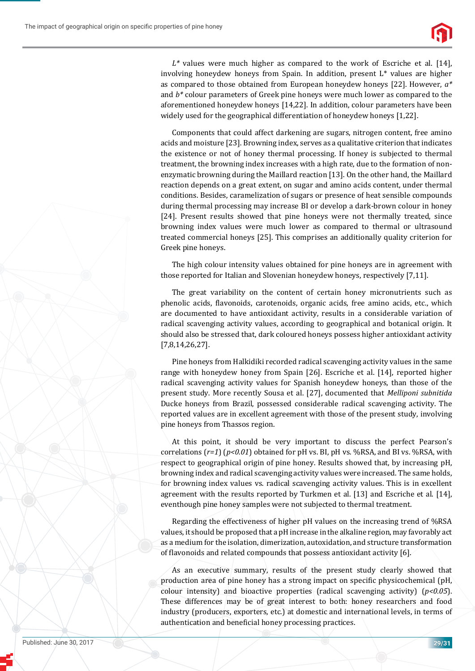

*L\** values were much higher as compared to the work of Escriche et al. [14], involving honeydew honeys from Spain. In addition, present L\* values are higher as compared to those obtained from European honeydew honeys [22]. However, *a\** and *b\** colour parameters of Greek pine honeys were much lower as compared to the aforementioned honeydew honeys [14,22]. In addition, colour parameters have been widely used for the geographical differentiation of honeydew honeys [1,22].

Components that could affect darkening are sugars, nitrogen content, free amino acids and moisture [23]. Browning index, serves as a qualitative criterion that indicates the existence or not of honey thermal processing. If honey is subjected to thermal treatment, the browning index increases with a high rate, due to the formation of nonenzymatic browning during the Maillard reaction [13]. On the other hand, the Maillard reaction depends on a great extent, on sugar and amino acids content, under thermal conditions. Besides, caramelization of sugars or presence of heat sensible compounds during thermal processing may increase BI or develop a dark-brown colour in honey [24]. Present results showed that pine honeys were not thermally treated, since browning index values were much lower as compared to thermal or ultrasound treated commercial honeys [25]. This comprises an additionally quality criterion for Greek pine honeys.

The high colour intensity values obtained for pine honeys are in agreement with those reported for Italian and Slovenian honeydew honeys, respectively [7,11].

The great variability on the content of certain honey micronutrients such as phenolic acids, ϐlavonoids, carotenoids, organic acids, free amino acids, etc., which are documented to have antioxidant activity, results in a considerable variation of radical scavenging activity values, according to geographical and botanical origin. It should also be stressed that, dark coloured honeys possess higher antioxidant activity [7,8,14,26,27].

Pine honeys from Halkidiki recorded radical scavenging activity values in the same range with honeydew honey from Spain [26]. Escriche et al. [14], reported higher radical scavenging activity values for Spanish honeydew honeys, than those of the present study. More recently Sousa et al. [27], documented that *Melliponi subnitida* Ducke honeys from Brazil, possessed considerable radical scavenging activity. The reported values are in excellent agreement with those of the present study, involving pine honeys from Thassos region.

At this point, it should be very important to discuss the perfect Pearson's correlations ( $r=1$ ) ( $p<0.01$ ) obtained for pH vs. BI, pH vs. %RSA, and BI vs. %RSA, with respect to geographical origin of pine honey. Results showed that, by increasing pH, browning index and radical scavenging activity values were increased. The same holds, for browning index values vs. radical scavenging activity values. This is in excellent agreement with the results reported by Turkmen et al. [13] and Escriche et al. [14], eventhough pine honey samples were not subjected to thermal treatment.

Regarding the effectiveness of higher pH values on the increasing trend of %RSA values, it should be proposed that a pH increase in the alkaline region, may favorably act as a medium for the isolation, dimerization, autoxidation, and structure transformation of flavonoids and related compounds that possess antioxidant activity [6].

As an executive summary, results of the present study clearly showed that production area of pine honey has a strong impact on specific physicochemical (pH, colour intensity) and bioactive properties (radical scavenging activity) (*p<0.05*). These differences may be of great interest to both: honey researchers and food industry (producers, exporters, etc.) at domestic and international levels, in terms of authentication and beneficial honey processing practices.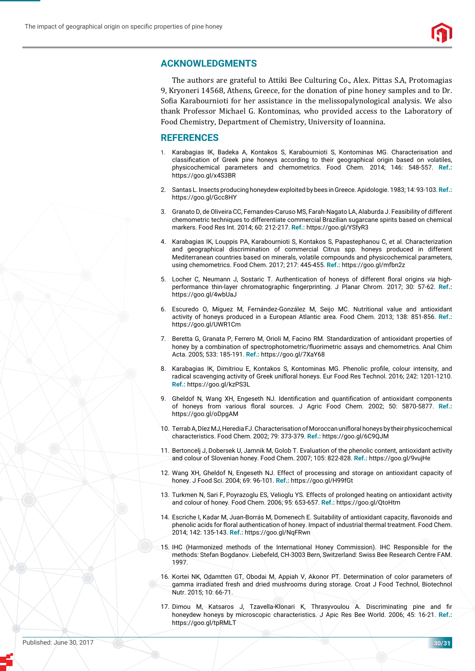## **ACKNOWLEDGMENTS**

The authors are grateful to Attiki Bee Culturing Co., Alex. Pittas S.A, Protomagias 9, Kryoneri 14568, Athens, Greece, for the donation of pine honey samples and to Dr. Sofia Karabournioti for her assistance in the melissopalynological analysis. We also thank Professor Michael G. Kontominas, who provided access to the Laboratory of Food Chemistry, Department of Chemistry, University of Ioannina.

## **REFERENCES**

- 1. Karabagias IK, Badeka A, Kontakos S, Karabournioti S, Kontominas MG. Characterisation and classifi cation of Greek pine honeys according to their geographical origin based on volatiles, physicochemical parameters and chemometrics. Food Chem. 2014; 146: 548-557. **Ref.:**  https://goo.gl/x4S3BR
- 2. Santas L. Insects producing honeydew exploited by bees in Greece. Apidologie. 1983; 14: 93-103. **Ref.:** https://goo.gl/Gcc8HY
- 3. Granato D, de Oliveira CC, Fernandes-Caruso MS, Farah-Nagato LA, Alaburda J. Feasibility of different chemometric techniques to differentiate commercial Brazilian sugarcane spirits based on chemical markers. Food Res Int. 2014; 60: 212-217. **Ref.:** https://goo.gl/YSfyR3
- 4. Karabagias IK, Louppis PA, Karabournioti S, Kontakos S, Papastephanou C, et al. Characterization and geographical discrimination of commercial Citrus spp. honeys produced in different Mediterranean countries based on minerals, volatile compounds and physicochemical parameters, using chemometrics. Food Chem. 2017; 217: 445-455. **Ref.:** https://goo.gl/mfbn2z
- 5. Locher C, Neumann J, Sostaric T. Authentication of honeys of different floral origins *via* highperformance thin-layer chromatographic fingerprinting. J Planar Chrom. 2017; 30: 57-62. Ref.: https://goo.gl/4wbUaJ
- 6. Escuredo O, Míguez M, Fernández-González M, Seijo MC. Nutritional value and antioxidant activity of honeys produced in a European Atlantic area. Food Chem. 2013; 138: 851-856. **Ref.:** https://goo.gl/UWR1Cm
- 7. Beretta G, Granata P, Ferrero M, Orioli M, Facino RM. Standardization of antioxidant properties of honey by a combination of spectrophotometric/fluorimetric assays and chemometrics. Anal Chim Acta. 2005; 533: 185-191. **Ref.:** https://goo.gl/7XaY68
- 8. Karabagias IK, Dimitriou E, Kontakos S, Kontominas MG. Phenolic profile, colour intensity, and radical scavenging activity of Greek unifloral honeys. Eur Food Res Technol. 2016; 242: 1201-1210. **Ref.:** https://goo.gl/kzPS3L
- 9. Gheldof N, Wang XH, Engeseth NJ. Identification and quantification of antioxidant components of honeys from various floral sources. J Agric Food Chem. 2002; 50: 5870-5877. Ref.: https://goo.gl/oDpgAM
- 10. Terrab A, Díez MJ, Heredia FJ. Characterisation of Moroccan unifloral honeys by their physicochemical characteristics. Food Chem. 2002; 79: 373-379. **Ref.:** https://goo.gl/6C9QJM
- 11. Bertoncelj J, Dobersek U, Jamnik M, Golob T. Evaluation of the phenolic content, antioxidant activity and colour of Slovenian honey. Food Chem. 2007; 105: 822-828. **Ref.:** https://goo.gl/9vujHe
- 12. Wang XH, Gheldof N, Engeseth NJ. Effect of processing and storage on antioxidant capacity of honey. J Food Sci. 2004; 69: 96-101. **Ref.:** https://goo.gl/H99fGt
- 13. Turkmen N, Sari F, Poyrazoglu ES, Velioglu YS. Effects of prolonged heating on antioxidant activity and colour of honey. Food Chem. 2006; 95: 653-657. **Ref.:** https://goo.gl/QtoHtm
- 14. Escriche I, Kadar M, Juan-Borrás M, Domenech E, Suitability of antioxidant capacity, flavonoids and phenolic acids for floral authentication of honey. Impact of industrial thermal treatment. Food Chem. 2014; 142: 135-143. **Ref.:** https://goo.gl/NqFRwn
- 15. IHC (Harmonized methods of the International Honey Commission). IHC Responsible for the methods: Stefan Bogdanov. Liebefeld, CH-3003 Bern, Switzerland: Swiss Bee Research Centre FAM. 1997.
- 16. Kortei NK, Odamtten GT, Obodai M, Appiah V, Akonor PT. Determination of color parameters of gamma irradiated fresh and dried mushrooms during storage. Croat J Food Technol, Biotechnol Nutr. 2015; 10: 66-71.
- 17. Dimou M, Katsaros J, Tzavella-Klonari K, Thrasyvoulou A, Discriminating pine and fir honeydew honeys by microscopic characteristics. J Apic Res Bee World. 2006; 45: 16-21. **Ref.:** https://goo.gl/tpRMLT